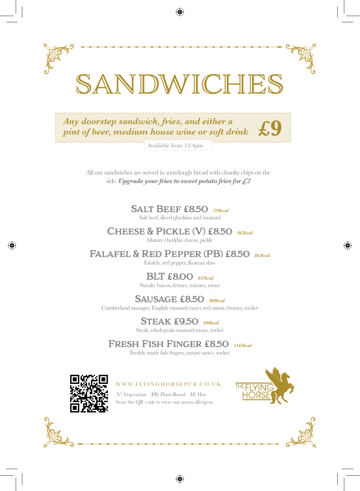

◈

All our sandwiches are served in sourdough bread with chunky chips on the side. *Upgrade your fries to sweet potato fries for £2*

> Salt Beef £8.50 *729kcal* Salt beef, sliced gherkins and mustard

CHEESE & PICKLE (V) £8.50 963kcal Mature cheddar cheese, pickle

Falafel & Red Pepper (PB) £8.50 *863kcal* Falafels, red pepper, Korean slaw

BLT £8.00 *812kcal*

Streaky bacon, lettuce, tomato, mayo

Sausage £8.50 *960kcal* Cumberland sausages, English mustard mayo, red onion chutney, rocket

> Steak £9.50 *899kcal* Steak, wholegrain mustard mayo, rocket

Fresh Fish Finger £8.50 *1143kcal*

Freshly made fish fingers, tartare sauce, rocket

⊕



 $\langle \spadesuit \rangle$ 

#### W W W. FLY IN GHORSEPUB. CO. UK

(V) Vegetarian (PB) Plant-Based (H) Hot Scan the QR code to view our menu allergens





⊕